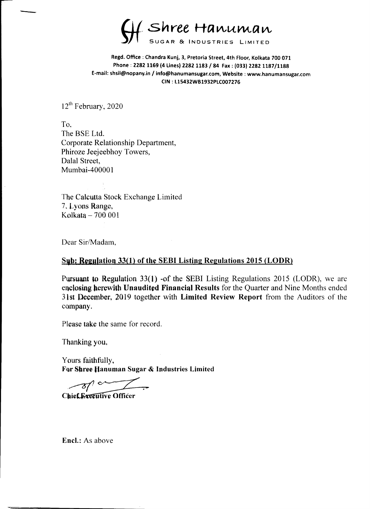Shree Hanuman SUGAR & INOUSTRIES LIMITED

Regd. Office : Chandra Kunj, 3, Pretoria Street, 4th Floor, Kolkata 700 071 Phone : 2282 1169 (4 Lines) 2282 1183 / 84 Fax : (033) 2282 1187/1188 E-mail: shsii@nopany.in / info@hanumansugar.com, Website : www.hanumansugar.com CIN : £15432WB1932PLC007276

12<sup>th</sup> February, 2020

The Calcutta Stock Exchange Limited 7, Lyons Range, Kolkata  $-700001$ 

The BSE Ltd. Corporate Relationship Department, Phiroze Jeejeebhoy Towers, Dalal Street, Mumbai-400001

Yours faithfully, For Shree Hanuman Sugar & Industries Limited Yours faithfully,<br>For Shree Hanuman Sugar of<br>Chief Executive Officer



Dear Sir/Madam,

Sub; Regulation 33(1) of the SEBI Listing Regulations 2015 (LODR)

Pursuant to Regulation 33(1) -of the SEBI Listing Regulations 2015 (LODR), we are enclosing herewith Unaudited Financial Results for the Quarter and Nine Months ended 31st December, 2019 together with Limited Review Report from the Auditors of the company.

Please take the same for record.

Thanking you,

Encl.: As above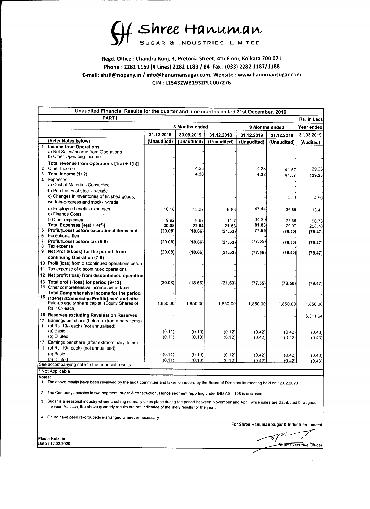Regd. Office : Chandra Kunj, 3, Pretoria Street, 4th Floor, Kolkata 700 071 Phone : 2282 1169 (4 Lines) 2282 1183 / 84 Fax : (033) 2282 1187/1188 E-mail: shsil@nopany.in / info@hanumansugar.com, Website : www.hanumansugar.com CIN : L15432WB1932PLC007276 Unaudited Financial Results for the quarter and Unaudited Financial Results for the quarter and Unaudited Financial Results for the quarter and the matter of the matter of the dual of the dual of the dual of the dual of th Sugare & I

Shree Hanuman SUGAR & INDUSTRIES LIMITED

|              | Unaudited Financial Results for the quarter and nine months ended 31st December, 2019 |                       |                    |
|--------------|---------------------------------------------------------------------------------------|-----------------------|--------------------|
| <b>PARTI</b> |                                                                                       |                       | <b>Rs. in Lacs</b> |
|              | <b>3 Months ended</b>                                                                 | <b>9 Months ended</b> | Year ended         |

- The Company operates in two segment- sugar & construction. Hence segment reporting under IND AS 108 is enclosed.
- 3 Sugar is a seasonal industry where crushing normally takes place during the period between November and April, while sales are distributed throughout the year. As such, the above quarterly results are not indicative of the likely results for the year.  $\vert \cdot \vert$ 
	-

|   | St Shree Hanuman<br>Regd. Office: Chandra Kunj, 3, Pretoria Street, 4th Floor, Kolkata 700 071                         |                  |                                     |                  |                           |                           |                          |
|---|------------------------------------------------------------------------------------------------------------------------|------------------|-------------------------------------|------------------|---------------------------|---------------------------|--------------------------|
|   |                                                                                                                        |                  |                                     |                  |                           |                           |                          |
|   | Phone: 2282 1169 (4 Lines) 2282 1183 / 84 Fax: (033) 2282 1187/1188                                                    |                  |                                     |                  |                           |                           |                          |
|   | E-mail: shsil@nopany.in / info@hanumansugar.com, Website : www.hanumansugar.com                                        |                  |                                     |                  |                           |                           |                          |
|   |                                                                                                                        |                  | CIN: L15432WB1932PLC007276          |                  |                           |                           |                          |
|   |                                                                                                                        |                  |                                     |                  |                           |                           |                          |
|   | Unaudited Financial Results for the quarter and nine months ended 31st December, 2019                                  |                  |                                     |                  |                           |                           |                          |
|   | <b>PARTI</b>                                                                                                           |                  |                                     |                  |                           |                           | <b>Rs. in Lacs</b>       |
|   |                                                                                                                        | 31.12.2019       | <b>3 Months ended</b><br>30.09.2019 | 31.12.2018       |                           | <b>9 Months ended</b>     | Year ended<br>31.03.2019 |
|   | (Refer Notes below)                                                                                                    | (Unaudited)      | (Unaudited)                         | (Unaudited)      | 31.12.2019<br>(Unaudited) | 31.12.2018<br>(Unaudited) | (Audited)                |
|   | <b>Income from Operations</b><br>(a) Net Sales/Income from Operations                                                  |                  |                                     |                  |                           |                           |                          |
|   | (b) Other Operating Income<br>Total revenue from Operations [1(a) + 1(b)]                                              |                  |                                     |                  |                           |                           |                          |
|   | <b>Other Income</b><br>Total Income (1+2)                                                                              |                  | 4.28<br>4.28                        |                  | 4.28<br>4.28              | 41.57<br>41.57            | 129.23<br>129.23         |
|   | <b>Expenses</b><br>(a) Cost of Materials Consumed                                                                      |                  |                                     |                  |                           |                           |                          |
|   | (b) Purchases of stock-in-trade                                                                                        |                  |                                     |                  |                           |                           |                          |
|   | c) Changes in Inventories of finished goods,<br>work-in-progress and stock-in-trade                                    |                  |                                     |                  |                           | 4.56                      | 4.56                     |
|   | d) Employee benefits expenses<br>(e) Finance Costs                                                                     | 10.16            | 13.27                               | 9.83             | 47.44                     | 36.86                     | 113.41                   |
|   | (f) Other expenses<br>Total Expenses [4(a) + 4(f)]                                                                     | 9.92<br>20.08    | 9.67<br>22.94                       | 11.7<br>21.53    | 34.39<br>81.83            | 78.65<br>120.07           | 90.73                    |
|   | 5   Profit/(Loss) before exceptional items and<br>6 Exceptional Item                                                   | (20.08)          | (18.66)                             | (21.53)          | 77.55                     | (78.50)                   | 208.70<br>(79.47)        |
| 8 | $ Profit(Loss) before tax (5-6)$<br>Tax expense                                                                        | (20.08)          | (18.66)                             | (21.53)          | (77.55)                   | (78.50)                   | (79.47)                  |
|   | 9   Net Profit/(Loss) for the period from                                                                              | (20.08)          | (18.66)                             | (21.53)          | (77.55)                   | (78.50)                   | (79.47)                  |
|   | <b>continuing Operation (7-8)</b><br>10   Profit (loss) from discontinued operations before                            |                  |                                     |                  |                           |                           |                          |
|   | 11 Tax expense of discontinued operations<br>12   Net profit (loss) from discontinued operation                        |                  |                                     |                  |                           |                           |                          |
|   | 13   Total profit (loss) for period (9+12)                                                                             | (20.08)          | (18.66)                             | (21.53)          | (77.55)                   | (78.50)                   | (79.47)                  |
|   | $14$ Other comprehensive income net of taxes<br>Total Comprehensive Income for the period                              |                  |                                     |                  |                           |                           |                          |
|   | $\frac{1}{4}$ 15 $\left $ (13+14) (Comprising Profit//Loss) and othe<br>Paid-up equity share capital (Equity Shares of | 0.850.001        | 1,850.00                            | .850.00          | 1,850.00                  | $1,850.00\vert$           | ,850.00                  |
|   | $ Rs. 10/-$ each $ $<br>16   Reserves excluding Revaluation Reserves                                                   |                  |                                     |                  |                           |                           | 6,311.64                 |
|   | 17. Earnings per share (before extraordinary items)  <br>$ $ (of Rs. 10/- each) (not annualised):                      |                  |                                     |                  |                           |                           |                          |
|   | I(a) Basic l<br>$(6)$ Diluted                                                                                          | (0.11)<br>(0.11) | (0.10)<br>(0.10)                    | (0.12)<br>(0.12) | (0.42)<br>(0.42)          | (0.42)<br>(0.42)          | (0.43)<br>(0.43)         |
|   | 17. Earnings per share (after extraordinary items)                                                                     |                  |                                     |                  |                           |                           |                          |
|   |                                                                                                                        |                  |                                     |                  |                           |                           |                          |
|   | ii $ $ (of Rs. 10/- each) (not annualised):<br>(a) Basic<br>$($ b) Diluted                                             | (0.11)<br>(0.11) | (0.10)<br><u>(0.10) </u>            | (0.12)<br>(0.12) | (0.42)                    | (0.42)                    | (0.43)                   |

Kolkata  $\sqrt{5/2}$ Xecutive Officer'  $\frac{1}{\sqrt{2}}$ 

 $\langle \sigma_{\rm{eff}} \rangle$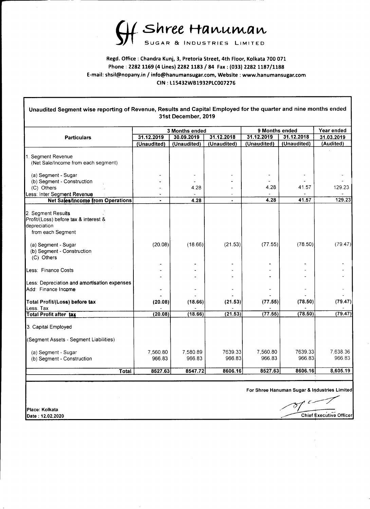Shree Hanuman SUGAR & INDUSTRIES LIMITED

Regd. Office : Chandra Kunj, 3, Pretoria Street, 4th Floor, Kolkata 700 071 Phone : 2282 1169 (4 Lines) 2282 1183 / 84 Fax : (033) 2282 1187/1188 E-mail: shsil@nopany.in / info@hanumansugar.com, Website : www.hanumansugar.com CIN : £15432WB1932PLC007276

Unaudited Segment wise reporting of Revenue, Results and Capital Employed for the quarter and nine months ended 31st December, 2019

| 3 Months<br>ended | 9 Months<br>ended | Year ended |
|-------------------|-------------------|------------|

|                                                                                                  |                                     | 3 MONTUS engeg                                                  |                                     |                | <b>A</b> MOUTURE SURFOR<br>31.12.2018        | rear ended                         |  |
|--------------------------------------------------------------------------------------------------|-------------------------------------|-----------------------------------------------------------------|-------------------------------------|----------------|----------------------------------------------|------------------------------------|--|
| <b>Particulars</b>                                                                               | 31.12.2019                          | 30.09.2019                                                      | 31.12.2018                          | 31.12.2019     |                                              | 31.03.2019                         |  |
|                                                                                                  | (Unaudited)                         | (Unaudited)                                                     | (Unaudited)                         | (Unaudited)    | (Unaudited)                                  | (Audited)                          |  |
| <b>Segment Revenue</b><br>(Net Sale/Income from each segment)                                    |                                     |                                                                 |                                     |                |                                              |                                    |  |
| (a) Segment - Sugar                                                                              | $\overline{\phantom{0}}$            | $\blacksquare$                                                  | $\blacksquare$                      | $\sim$         | $\sim$                                       | $\sim$                             |  |
| (b) Segment - Construction                                                                       | $\overline{\phantom{a}}$            | $\overline{\phantom{0}}$                                        | -                                   | $\sim$         | $\overline{\phantom{a}}$                     | $\blacksquare$                     |  |
| (C) Others                                                                                       | $\overline{\phantom{0}}$            | 4.28                                                            | $\overline{\phantom{0}}$            | 4.28           | 41.57                                        | 129.23                             |  |
| Less: Inter Segment Revenue                                                                      |                                     | $\overline{\phantom{a}}$<br>4.28                                |                                     | 4.28           | $\overline{\phantom{0}}$<br>41.57            | $\overline{\phantom{a}}$<br>129.23 |  |
| <b>Net Sales/Income from Operations</b>                                                          |                                     |                                                                 |                                     |                |                                              |                                    |  |
| 2. Segment Results<br>Profit/(Loss) before tax & interest &<br>depreciation<br>from each Segment |                                     |                                                                 |                                     |                |                                              |                                    |  |
|                                                                                                  |                                     |                                                                 |                                     |                |                                              |                                    |  |
| (a) Segment - Sugar<br>(b) Segment - Construction<br>(C)<br><b>Others</b>                        | (20.08)                             | (18.66)                                                         | (21.53)                             | (77.55)        | (78.50)                                      | (79.47)                            |  |
|                                                                                                  | $\sim$                              | $\sim$                                                          | $\sim$                              | $\sim$         | $\overline{\phantom{0}}$                     |                                    |  |
| <b>ILess: Finance Costs</b>                                                                      |                                     | $\overline{\phantom{a}}$                                        | $\overline{\phantom{0}}$            | $\blacksquare$ | $\overline{\phantom{0}}$                     |                                    |  |
| Less: Depreciation and amortisation expenses                                                     |                                     | $\overline{\phantom{0}}$                                        |                                     |                | $\blacksquare$                               |                                    |  |
| Add: Finance Income                                                                              |                                     |                                                                 |                                     |                | $\overline{\phantom{0}}$                     |                                    |  |
| Total Profit/(Loss) before tax<br>Less: Tax                                                      | $\overline{\phantom{0}}$<br>(20.08) | $\overline{\phantom{a}}$<br>(18.66)<br>$\overline{\phantom{0}}$ | (21.53)<br>$\overline{\phantom{0}}$ | (77.55)        | $\blacksquare$<br>(78.50)                    | (79.47)                            |  |
| Total Profit after tax                                                                           | (20.08)                             | (18.66)                                                         | (21.53)                             | (77.55)        | (78.50)                                      | (79.47)                            |  |
| 3. Capital Employed<br>(Segment Assets - Segment Liabilities)                                    |                                     |                                                                 |                                     |                |                                              |                                    |  |
|                                                                                                  |                                     |                                                                 |                                     |                |                                              |                                    |  |
| (a) Segment - Sugar                                                                              | 7,560.80                            | 7,580.89                                                        | 7639.33                             | 7,560.80       | 7639.33                                      | 7,638.36                           |  |
| (b) Segment - Construction                                                                       | 966.83                              | 966.83                                                          | 966.83                              | 966.83         | 966.83                                       | 966.83                             |  |
| Total                                                                                            | 8527.63                             | 8547.72                                                         | 8606.16                             | 8527.63        | 8606.16                                      | 8,605.19                           |  |
|                                                                                                  |                                     |                                                                 |                                     |                |                                              |                                    |  |
|                                                                                                  |                                     |                                                                 |                                     |                |                                              |                                    |  |
|                                                                                                  |                                     |                                                                 |                                     |                | For Shree Hanuman Sugar & Industries Limited |                                    |  |
| <b>Place: Kolkata</b>                                                                            |                                     |                                                                 |                                     |                |                                              |                                    |  |

## For Shree Hanuman Sugar & Industries Limited